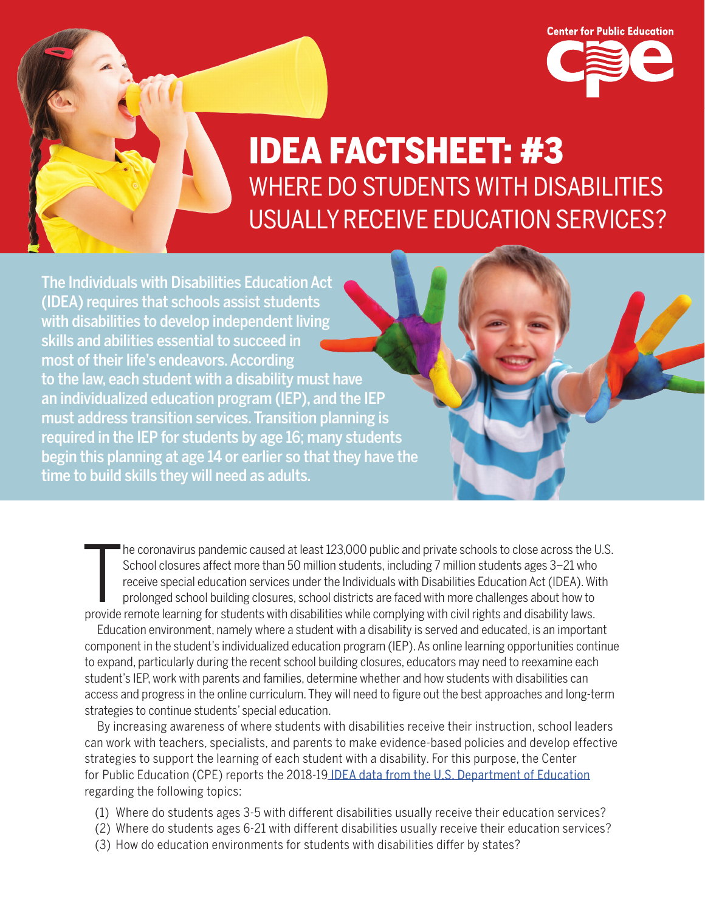

# IDEA FACTSHEET: #3 WHERE DO STUDENTS WITH DISABILITIES USUALLY RECEIVE EDUCATION SERVICES?

The Individuals with Disabilities Education Act (IDEA) requires that schools assist students with disabilities to develop independent living skills and abilities essential to succeed in most of their life's endeavors. According to the law, each student with a disability must have an individualized education program (IEP), and the IEP must address transition services. Transition planning is required in the IEP for students by age 16; many students begin this planning at age 14 or earlier so that they have the time to build skills they will need as adults.

FACTS HET A

he coronavirus pandemic caused at least 123,000 public and private schools to close across the l<br>School closures affect more than 50 million students, including 7 million students ages 3–21 who<br>receive special education se he coronavirus pandemic caused at least 123,000 public and private schools to close across the U.S. School closures affect more than 50 million students, including 7 million students ages 3–21 who receive special education services under the Individuals with Disabilities Education Act (IDEA). With prolonged school building closures, school districts are faced with more challenges about how to

Education environment, namely where a student with a disability is served and educated, is an important component in the student's individualized education program (IEP). As online learning opportunities continue to expand, particularly during the recent school building closures, educators may need to reexamine each student's IEP, work with parents and families, determine whether and how students with disabilities can access and progress in the online curriculum. They will need to figure out the best approaches and long-term strategies to continue students' special education.

By increasing awareness of where students with disabilities receive their instruction, school leaders can work with teachers, specialists, and parents to make evidence-based policies and develop effective strategies to support the learning of each student with a disability. For this purpose, the Center for Public Education (CPE) reports the 2018-19 [IDEA data from the U.S. Department of Education](https://www2.ed.gov/programs/osepidea/618-data/state-level-data-files/index.html) regarding the following topics:

- (1) Where do students ages 3-5 with different disabilities usually receive their education services?
- (2) Where do students ages 6-21 with different disabilities usually receive their education services?
- (3) How do education environments for students with disabilities differ by states?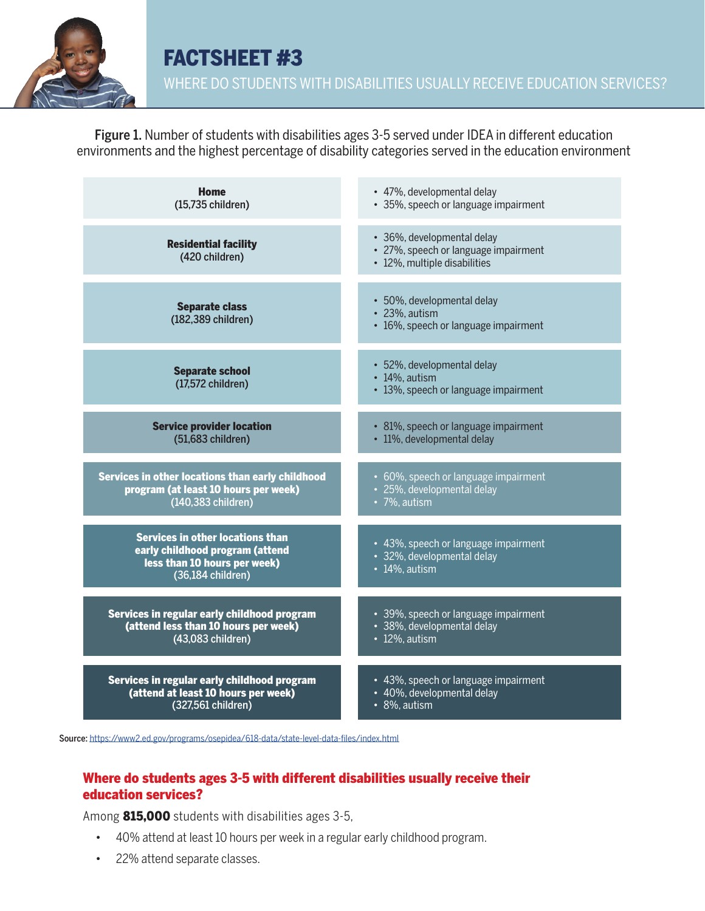

# FACTSHEET #3 WHERE DO STUDENTS WITH DISABILITIES USUALLY RECEIVE EDUCATION SERVICES?

Figure 1. Number of students with disabilities ages 3-5 served under IDEA in different education environments and the highest percentage of disability categories served in the education environment

| <b>Home</b>                                                                                                                     | · 47%, developmental delay                                                                         |
|---------------------------------------------------------------------------------------------------------------------------------|----------------------------------------------------------------------------------------------------|
| (15,735 children)                                                                                                               | • 35%, speech or language impairment                                                               |
| <b>Residential facility</b><br>(420 children)                                                                                   | · 36%, developmental delay<br>• 27%, speech or language impairment<br>· 12%, multiple disabilities |
| <b>Separate class</b><br>(182,389 children)                                                                                     | • 50%, developmental delay<br>• 23%, autism<br>• 16%, speech or language impairment                |
| <b>Separate school</b><br>(17,572 children)                                                                                     | • 52%, developmental delay<br>• 14%, autism<br>• 13%, speech or language impairment                |
| <b>Service provider location</b>                                                                                                | • 81%, speech or language impairment                                                               |
| (51,683 children)                                                                                                               | • 11%, developmental delay                                                                         |
| Services in other locations than early childhood                                                                                | • 60%, speech or language impairment                                                               |
| program (at least 10 hours per week)                                                                                            | • 25%, developmental delay                                                                         |
| $(140, 383$ children)                                                                                                           | • 7%, autism                                                                                       |
| <b>Services in other locations than</b><br>early childhood program (attend<br>less than 10 hours per week)<br>(36,184 children) | • 43%, speech or language impairment<br>• 32%, developmental delay<br>$\cdot$ 14%, autism          |
| Services in regular early childhood program                                                                                     | • 39%, speech or language impairment                                                               |
| (attend less than 10 hours per week)                                                                                            | • 38%, developmental delay                                                                         |
| (43,083 children)                                                                                                               | • 12%, autism                                                                                      |
| Services in regular early childhood program                                                                                     | • 43%, speech or language impairment                                                               |
| (attend at least 10 hours per week)                                                                                             | • 40%, developmental delay                                                                         |
| (327,561 children)                                                                                                              | • 8%, autism                                                                                       |

Source: <https://www2.ed.gov/programs/osepidea/618-data/state-level-data-files/index.html>

#### Where do students ages 3-5 with different disabilities usually receive their education services?

Among 815,000 students with disabilities ages 3-5,

- 40% attend at least 10 hours per week in a regular early childhood program.
- 22% attend separate classes.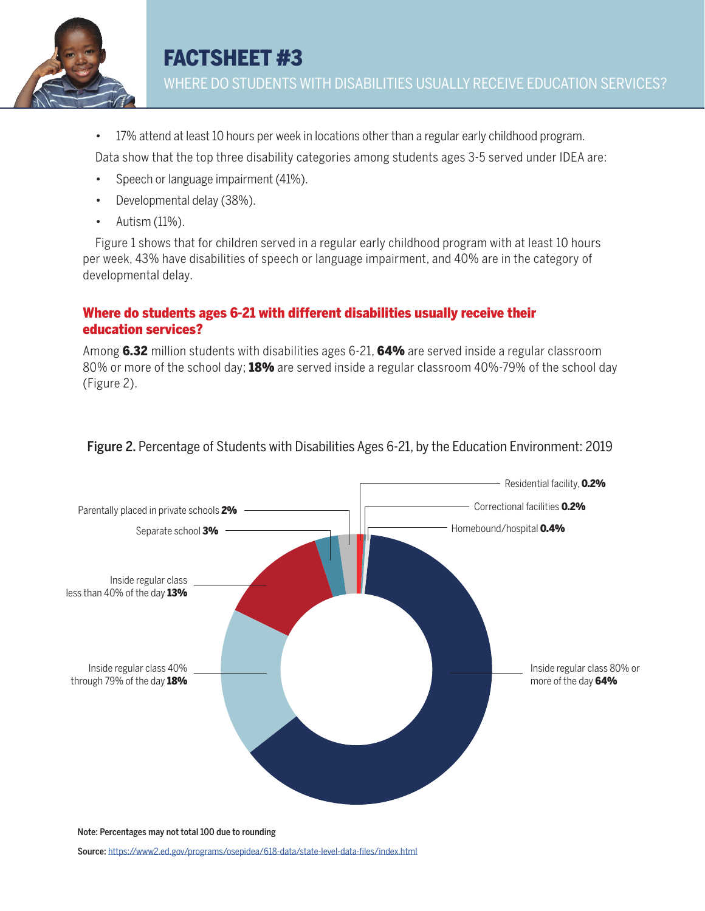

• 17% attend at least 10 hours per week in locations other than a regular early childhood program.

Data show that the top three disability categories among students ages 3-5 served under IDEA are:

- Speech or language impairment (41%).
- Developmental delay (38%).
- Autism (11%).

Figure 1 shows that for children served in a regular early childhood program with at least 10 hours per week, 43% have disabilities of speech or language impairment, and 40% are in the category of developmental delay.

### Where do students ages 6-21 with different disabilities usually receive their education services?

Among 6.32 million students with disabilities ages 6-21, 64% are served inside a regular classroom 80% or more of the school day; **18%** are served inside a regular classroom 40%-79% of the school day (Figure 2).



Figure 2. Percentage of Students with Disabilities Ages 6-21, by the Education Environment: 2019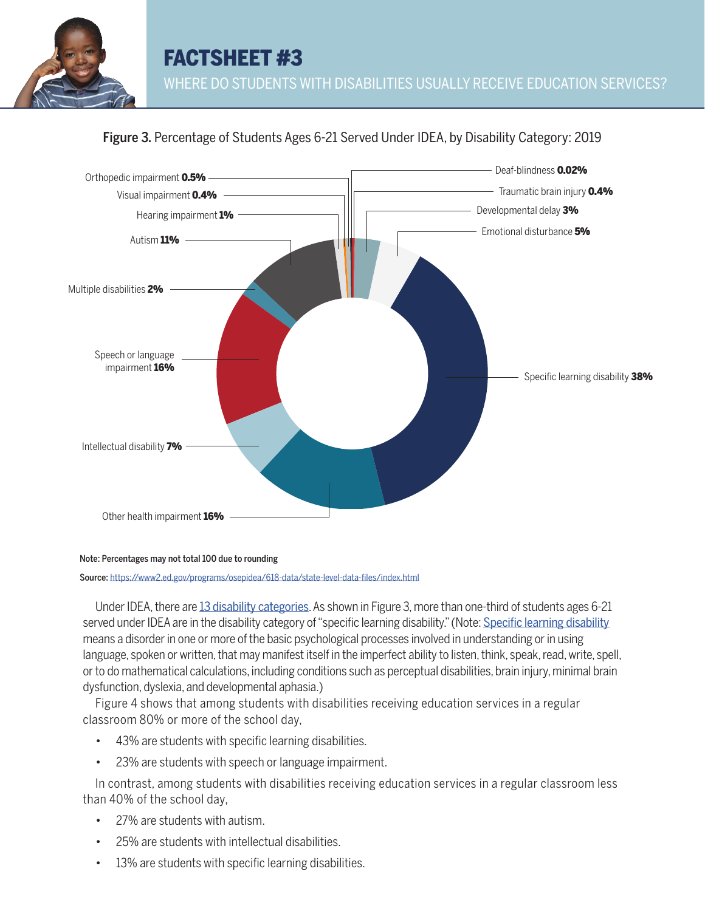



### Figure 3. Percentage of Students Ages 6-21 Served Under IDEA, by Disability Category: 2019

Note: Percentages may not total 100 due to rounding

Source: <https://www2.ed.gov/programs/osepidea/618-data/state-level-data-files/index.html>

Under IDEA, there are [13 disability categories](https://sites.ed.gov/idea/regs/b/a/300.8). As shown in Figure 3, more than one-third of students ages 6-21 served under IDEA are in the disability category of "specific learning disability." (Note: [Specific learning disability](https://sites.ed.gov/idea/regs/b/a/300.8/c/10) means a disorder in one or more of the basic psychological processes involved in understanding or in using language, spoken or written, that may manifest itself in the imperfect ability to listen, think, speak, read, write, spell, or to do mathematical calculations, including conditions such as perceptual disabilities, brain injury, minimal brain dysfunction, dyslexia, and developmental aphasia.)

Figure 4 shows that among students with disabilities receiving education services in a regular classroom 80% or more of the school day,

- 43% are students with specific learning disabilities.
- 23% are students with speech or language impairment.

In contrast, among students with disabilities receiving education services in a regular classroom less than 40% of the school day,

- 27% are students with autism.
- 25% are students with intellectual disabilities.
- 13% are students with specific learning disabilities.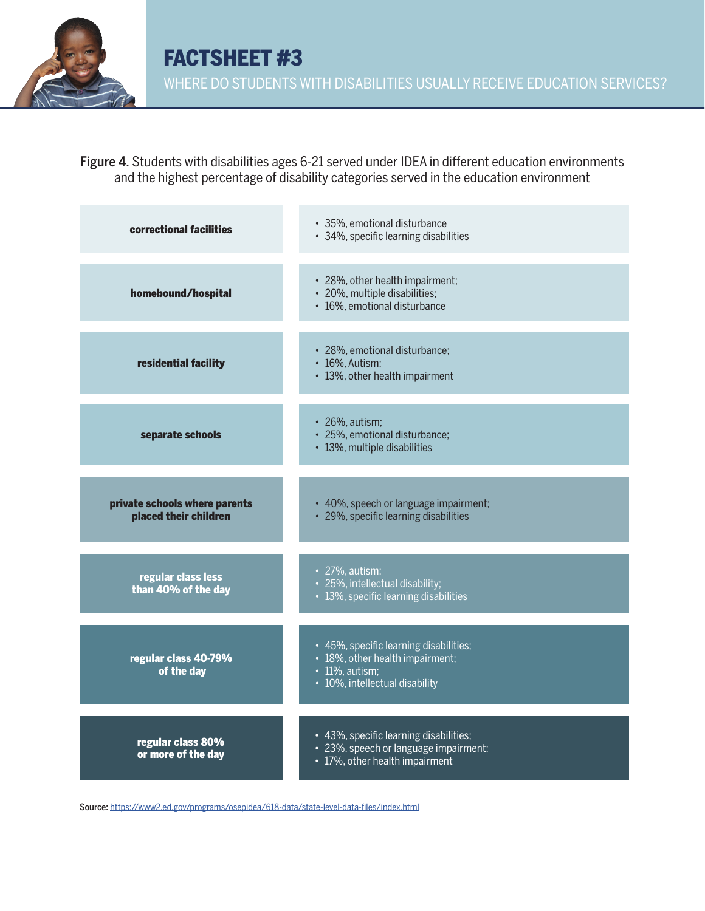

Figure 4. Students with disabilities ages 6-21 served under IDEA in different education environments and the highest percentage of disability categories served in the education environment

| correctional facilities                                | • 35%, emotional disturbance<br>• 34%, specific learning disabilities                                                               |
|--------------------------------------------------------|-------------------------------------------------------------------------------------------------------------------------------------|
| homebound/hospital                                     | • 28%, other health impairment;<br>· 20%, multiple disabilities;<br>• 16%, emotional disturbance                                    |
| residential facility                                   | • 28%, emotional disturbance;<br>• 16%, Autism;<br>• 13%, other health impairment                                                   |
| separate schools                                       | $\cdot$ 26%, autism;<br>• 25%, emotional disturbance;<br>• 13%, multiple disabilities                                               |
| private schools where parents<br>placed their children | • 40%, speech or language impairment;<br>• 29%, specific learning disabilities                                                      |
| regular class less<br>than 40% of the day              | • 27%, autism;<br>• 25%, intellectual disability;<br>• 13%, specific learning disabilities                                          |
| regular class 40-79%<br>of the day                     | • 45%, specific learning disabilities;<br>• 18%, other health impairment;<br>$\cdot$ 11%, autism;<br>• 10%, intellectual disability |
| regular class 80%<br>or more of the day                | • 43%, specific learning disabilities;<br>• 23%, speech or language impairment;<br>• 17%, other health impairment                   |

Source: <https://www2.ed.gov/programs/osepidea/618-data/state-level-data-files/index.html>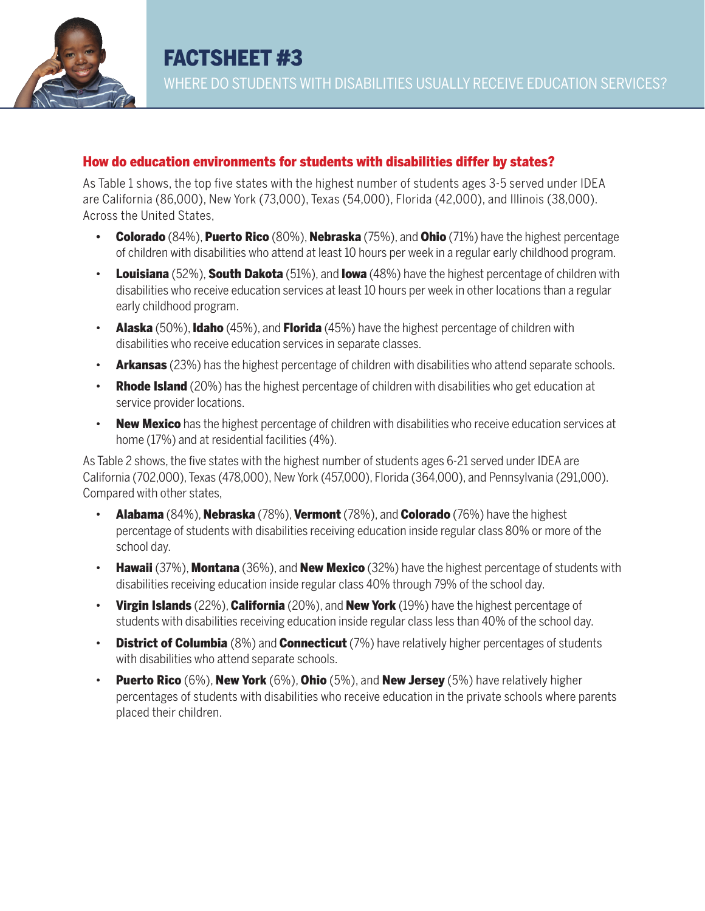

#### How do education environments for students with disabilities differ by states?

As Table 1 shows, the top five states with the highest number of students ages 3-5 served under IDEA are California (86,000), New York (73,000), Texas (54,000), Florida (42,000), and Illinois (38,000). Across the United States,

- Colorado (84%), Puerto Rico (80%), Nebraska (75%), and Ohio (71%) have the highest percentage of children with disabilities who attend at least 10 hours per week in a regular early childhood program.
- Louisiana (52%), South Dakota (51%), and lowa (48%) have the highest percentage of children with disabilities who receive education services at least 10 hours per week in other locations than a regular early childhood program.
- **Alaska** (50%), **Idaho** (45%), and **Florida** (45%) have the highest percentage of children with disabilities who receive education services in separate classes.
- Arkansas (23%) has the highest percentage of children with disabilities who attend separate schools.
- Rhode Island (20%) has the highest percentage of children with disabilities who get education at service provider locations.
- New Mexico has the highest percentage of children with disabilities who receive education services at home (17%) and at residential facilities (4%).

As Table 2 shows, the five states with the highest number of students ages 6-21 served under IDEA are California (702,000), Texas (478,000), New York (457,000), Florida (364,000), and Pennsylvania (291,000). Compared with other states,

- Alabama (84%), Nebraska (78%), Vermont (78%), and Colorado (76%) have the highest percentage of students with disabilities receiving education inside regular class 80% or more of the school day.
- **Hawaii** (37%), **Montana** (36%), and **New Mexico** (32%) have the highest percentage of students with disabilities receiving education inside regular class 40% through 79% of the school day.
- Virgin Islands (22%), California (20%), and New York (19%) have the highest percentage of students with disabilities receiving education inside regular class less than 40% of the school day.
- District of Columbia (8%) and Connecticut (7%) have relatively higher percentages of students with disabilities who attend separate schools.
- Puerto Rico (6%), New York (6%), Ohio (5%), and New Jersey (5%) have relatively higher percentages of students with disabilities who receive education in the private schools where parents placed their children.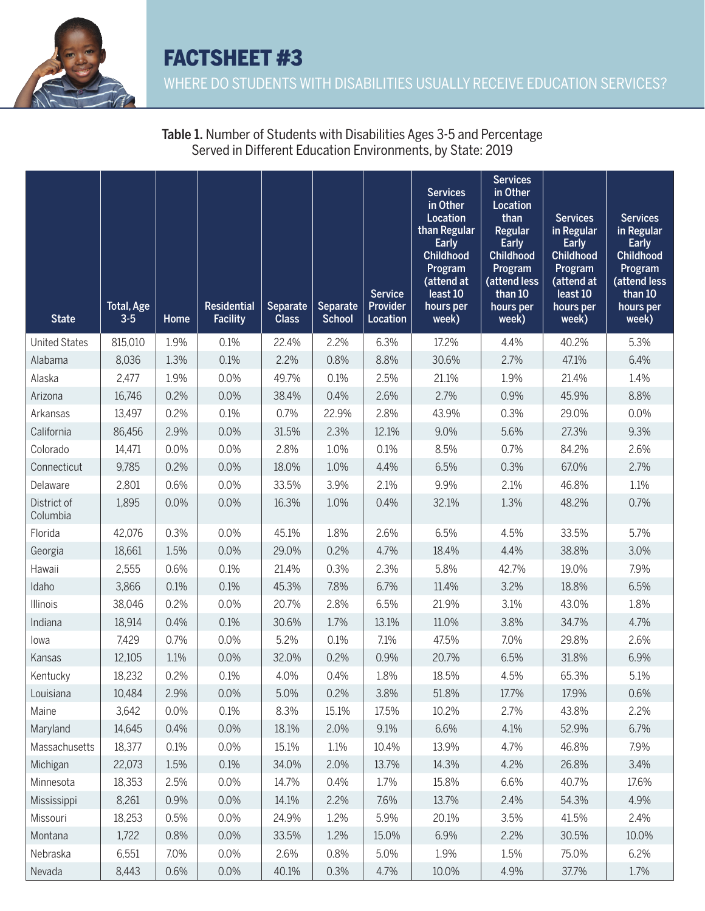

Table 1. Number of Students with Disabilities Ages 3-5 and Percentage Served in Different Education Environments, by State: 2019

| <b>State</b>            | Total, Age<br>$3 - 5$ | <b>Home</b> | Residential<br><b>Facility</b> | Separate<br><b>Class</b> | Separate<br><b>School</b> | <b>Service</b><br>Provider<br>Location | <b>Services</b><br>in Other<br>Location<br>than Regular<br>Early<br><b>Childhood</b><br>Program<br>(attend at<br>least 10<br>hours per<br>week) | <b>Services</b><br>in Other<br>Location<br>than<br>Regular<br>Early<br>Childhood<br>Program<br>(attend less<br>than 10<br>hours per<br>week) | <b>Services</b><br>in Regular<br>Early<br><b>Childhood</b><br>Program<br>(attend at<br>least 10<br>hours per<br>week) | <b>Services</b><br>in Regular<br><b>Early</b><br><b>Childhood</b><br>Program<br>(attend less<br>than 10<br>hours per<br>week) |
|-------------------------|-----------------------|-------------|--------------------------------|--------------------------|---------------------------|----------------------------------------|-------------------------------------------------------------------------------------------------------------------------------------------------|----------------------------------------------------------------------------------------------------------------------------------------------|-----------------------------------------------------------------------------------------------------------------------|-------------------------------------------------------------------------------------------------------------------------------|
| <b>United States</b>    | 815,010               | 1.9%        | 0.1%                           | 22.4%                    | 2.2%                      | 6.3%                                   | 17.2%                                                                                                                                           | 4.4%                                                                                                                                         | 40.2%                                                                                                                 | 5.3%                                                                                                                          |
| Alabama                 | 8,036                 | 1.3%        | 0.1%                           | 2.2%                     | 0.8%                      | 8.8%                                   | 30.6%                                                                                                                                           | 2.7%                                                                                                                                         | 47.1%                                                                                                                 | 6.4%                                                                                                                          |
| Alaska                  | 2,477                 | 1.9%        | 0.0%                           | 49.7%                    | 0.1%                      | 2.5%                                   | 21.1%                                                                                                                                           | 1.9%                                                                                                                                         | 21.4%                                                                                                                 | 1.4%                                                                                                                          |
| Arizona                 | 16,746                | 0.2%        | 0.0%                           | 38.4%                    | 0.4%                      | 2.6%                                   | 2.7%                                                                                                                                            | 0.9%                                                                                                                                         | 45.9%                                                                                                                 | 8.8%                                                                                                                          |
| Arkansas                | 13,497                | 0.2%        | 0.1%                           | 0.7%                     | 22.9%                     | 2.8%                                   | 43.9%                                                                                                                                           | 0.3%                                                                                                                                         | 29.0%                                                                                                                 | 0.0%                                                                                                                          |
| California              | 86,456                | 2.9%        | 0.0%                           | 31.5%                    | 2.3%                      | 12.1%                                  | 9.0%                                                                                                                                            | 5.6%                                                                                                                                         | 27.3%                                                                                                                 | 9.3%                                                                                                                          |
| Colorado                | 14,471                | 0.0%        | 0.0%                           | 2.8%                     | 1.0%                      | 0.1%                                   | 8.5%                                                                                                                                            | 0.7%                                                                                                                                         | 84.2%                                                                                                                 | 2.6%                                                                                                                          |
| Connecticut             | 9,785                 | 0.2%        | 0.0%                           | 18.0%                    | 1.0%                      | 4.4%                                   | 6.5%                                                                                                                                            | 0.3%                                                                                                                                         | 67.0%                                                                                                                 | 2.7%                                                                                                                          |
| Delaware                | 2,801                 | 0.6%        | 0.0%                           | 33.5%                    | 3.9%                      | 2.1%                                   | 9.9%                                                                                                                                            | 2.1%                                                                                                                                         | 46.8%                                                                                                                 | 1.1%                                                                                                                          |
| District of<br>Columbia | 1,895                 | 0.0%        | 0.0%                           | 16.3%                    | 1.0%                      | 0.4%                                   | 32.1%                                                                                                                                           | 1.3%                                                                                                                                         | 48.2%                                                                                                                 | 0.7%                                                                                                                          |
| Florida                 | 42,076                | 0.3%        | 0.0%                           | 45.1%                    | 1.8%                      | 2.6%                                   | 6.5%                                                                                                                                            | 4.5%                                                                                                                                         | 33.5%                                                                                                                 | 5.7%                                                                                                                          |
| Georgia                 | 18,661                | 1.5%        | 0.0%                           | 29.0%                    | 0.2%                      | 4.7%                                   | 18.4%                                                                                                                                           | 4.4%                                                                                                                                         | 38.8%                                                                                                                 | 3.0%                                                                                                                          |
| Hawaii                  | 2,555                 | 0.6%        | 0.1%                           | 21.4%                    | 0.3%                      | 2.3%                                   | 5.8%                                                                                                                                            | 42.7%                                                                                                                                        | 19.0%                                                                                                                 | 7.9%                                                                                                                          |
| Idaho                   | 3,866                 | 0.1%        | 0.1%                           | 45.3%                    | 7.8%                      | 6.7%                                   | 11.4%                                                                                                                                           | 3.2%                                                                                                                                         | 18.8%                                                                                                                 | 6.5%                                                                                                                          |
| Illinois                | 38,046                | 0.2%        | 0.0%                           | 20.7%                    | 2.8%                      | 6.5%                                   | 21.9%                                                                                                                                           | 3.1%                                                                                                                                         | 43.0%                                                                                                                 | 1.8%                                                                                                                          |
| Indiana                 | 18,914                | 0.4%        | 0.1%                           | 30.6%                    | 1.7%                      | 13.1%                                  | 11.0%                                                                                                                                           | 3.8%                                                                                                                                         | 34.7%                                                                                                                 | 4.7%                                                                                                                          |
| lowa                    | 7,429                 | 0.7%        | 0.0%                           | 5.2%                     | 0.1%                      | 7.1%                                   | 47.5%                                                                                                                                           | 7.0%                                                                                                                                         | 29.8%                                                                                                                 | 2.6%                                                                                                                          |
| Kansas                  | 12,105                | 1.1%        | 0.0%                           | 32.0%                    | 0.2%                      | 0.9%                                   | 20.7%                                                                                                                                           | 6.5%                                                                                                                                         | 31.8%                                                                                                                 | 6.9%                                                                                                                          |
| Kentucky                | 18,232                | 0.2%        | 0.1%                           | 4.0%                     | 0.4%                      | 1.8%                                   | 18.5%                                                                                                                                           | 4.5%                                                                                                                                         | 65.3%                                                                                                                 | 5.1%                                                                                                                          |
| Louisiana               | 10,484                | 2.9%        | 0.0%                           | 5.0%                     | 0.2%                      | 3.8%                                   | 51.8%                                                                                                                                           | 17.7%                                                                                                                                        | 17.9%                                                                                                                 | 0.6%                                                                                                                          |
| Maine                   | 3,642                 | 0.0%        | 0.1%                           | 8.3%                     | 15.1%                     | 17.5%                                  | 10.2%                                                                                                                                           | 2.7%                                                                                                                                         | 43.8%                                                                                                                 | 2.2%                                                                                                                          |
| Maryland                | 14,645                | 0.4%        | 0.0%                           | 18.1%                    | 2.0%                      | 9.1%                                   | 6.6%                                                                                                                                            | 4.1%                                                                                                                                         | 52.9%                                                                                                                 | 6.7%                                                                                                                          |
| Massachusetts           | 18,377                | 0.1%        | 0.0%                           | 15.1%                    | 1.1%                      | 10.4%                                  | 13.9%                                                                                                                                           | 4.7%                                                                                                                                         | 46.8%                                                                                                                 | 7.9%                                                                                                                          |
| Michigan                | 22,073                | 1.5%        | 0.1%                           | 34.0%                    | 2.0%                      | 13.7%                                  | 14.3%                                                                                                                                           | 4.2%                                                                                                                                         | 26.8%                                                                                                                 | 3.4%                                                                                                                          |
| Minnesota               | 18,353                | 2.5%        | 0.0%                           | 14.7%                    | 0.4%                      | 1.7%                                   | 15.8%                                                                                                                                           | 6.6%                                                                                                                                         | 40.7%                                                                                                                 | 17.6%                                                                                                                         |
| Mississippi             | 8,261                 | 0.9%        | 0.0%                           | 14.1%                    | 2.2%                      | 7.6%                                   | 13.7%                                                                                                                                           | 2.4%                                                                                                                                         | 54.3%                                                                                                                 | 4.9%                                                                                                                          |
| Missouri                | 18,253                | 0.5%        | 0.0%                           | 24.9%                    | 1.2%                      | 5.9%                                   | 20.1%                                                                                                                                           | 3.5%                                                                                                                                         | 41.5%                                                                                                                 | 2.4%                                                                                                                          |
| Montana                 | 1,722                 | 0.8%        | 0.0%                           | 33.5%                    | 1.2%                      | 15.0%                                  | 6.9%                                                                                                                                            | 2.2%                                                                                                                                         | 30.5%                                                                                                                 | 10.0%                                                                                                                         |
| Nebraska                | 6,551                 | 7.0%        | 0.0%                           | 2.6%                     | 0.8%                      | 5.0%                                   | 1.9%                                                                                                                                            | 1.5%                                                                                                                                         | 75.0%                                                                                                                 | 6.2%                                                                                                                          |
| Nevada                  | 8,443                 | 0.6%        | 0.0%                           | 40.1%                    | 0.3%                      | 4.7%                                   | 10.0%                                                                                                                                           | 4.9%                                                                                                                                         | 37.7%                                                                                                                 | 1.7%                                                                                                                          |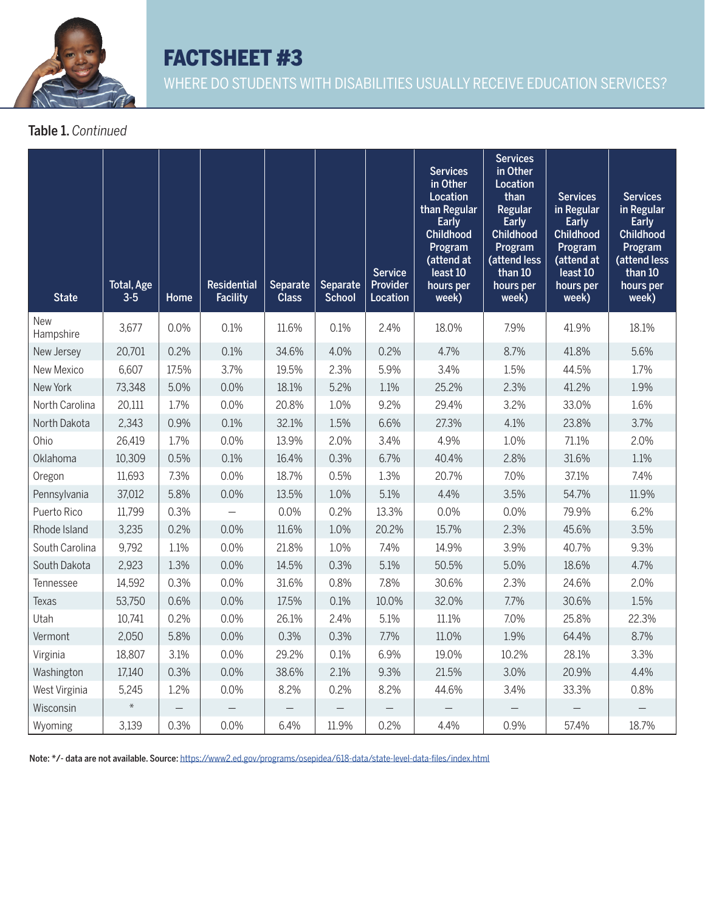

# FACTSHEET #3

WHERE DO STUDENTS WITH DISABILITIES USUALLY RECEIVE EDUCATION SERVICES?

#### Table 1. *Continued*

| <b>State</b>     | Total, Age<br>$3-5$ | Home  | <b>Residential</b><br><b>Facility</b> | Separate<br><b>Class</b> | Separate<br><b>School</b> | <b>Service</b><br>Provider<br>Location | <b>Services</b><br>in Other<br><b>Location</b><br>than Regular<br><b>Early</b><br><b>Childhood</b><br>Program<br>(attend at<br>least 10<br>hours per<br>week) | <b>Services</b><br>in Other<br>Location<br>than<br>Regular<br>Early<br><b>Childhood</b><br>Program<br>(attend less<br>than 10<br>hours per<br>week) | <b>Services</b><br>in Regular<br>Early<br><b>Childhood</b><br>Program<br>(attend at<br>least 10<br>hours per<br>week) | <b>Services</b><br>in Regular<br><b>Early</b><br><b>Childhood</b><br>Program<br>(attend less<br>than 10<br>hours per<br>week) |
|------------------|---------------------|-------|---------------------------------------|--------------------------|---------------------------|----------------------------------------|---------------------------------------------------------------------------------------------------------------------------------------------------------------|-----------------------------------------------------------------------------------------------------------------------------------------------------|-----------------------------------------------------------------------------------------------------------------------|-------------------------------------------------------------------------------------------------------------------------------|
| New<br>Hampshire | 3,677               | 0.0%  | 0.1%                                  | 11.6%                    | 0.1%                      | 2.4%                                   | 18.0%                                                                                                                                                         | 7.9%                                                                                                                                                | 41.9%                                                                                                                 | 18.1%                                                                                                                         |
| New Jersey       | 20,701              | 0.2%  | 0.1%                                  | 34.6%                    | 4.0%                      | 0.2%                                   | 4.7%                                                                                                                                                          | 8.7%                                                                                                                                                | 41.8%                                                                                                                 | 5.6%                                                                                                                          |
| New Mexico       | 6,607               | 17.5% | 3.7%                                  | 19.5%                    | 2.3%                      | 5.9%                                   | 3.4%                                                                                                                                                          | 1.5%                                                                                                                                                | 44.5%                                                                                                                 | 1.7%                                                                                                                          |
| New York         | 73,348              | 5.0%  | 0.0%                                  | 18.1%                    | 5.2%                      | 1.1%                                   | 25.2%                                                                                                                                                         | 2.3%                                                                                                                                                | 41.2%                                                                                                                 | 1.9%                                                                                                                          |
| North Carolina   | 20,111              | 1.7%  | 0.0%                                  | 20.8%                    | 1.0%                      | 9.2%                                   | 29.4%                                                                                                                                                         | 3.2%                                                                                                                                                | 33.0%                                                                                                                 | 1.6%                                                                                                                          |
| North Dakota     | 2,343               | 0.9%  | 0.1%                                  | 32.1%                    | 1.5%                      | 6.6%                                   | 27.3%                                                                                                                                                         | 4.1%                                                                                                                                                | 23.8%                                                                                                                 | 3.7%                                                                                                                          |
| Ohio             | 26,419              | 1.7%  | 0.0%                                  | 13.9%                    | 2.0%                      | 3.4%                                   | 4.9%                                                                                                                                                          | 1.0%                                                                                                                                                | 71.1%                                                                                                                 | 2.0%                                                                                                                          |
| Oklahoma         | 10,309              | 0.5%  | 0.1%                                  | 16.4%                    | 0.3%                      | 6.7%                                   | 40.4%                                                                                                                                                         | 2.8%                                                                                                                                                | 31.6%                                                                                                                 | 1.1%                                                                                                                          |
| Oregon           | 11,693              | 7.3%  | 0.0%                                  | 18.7%                    | 0.5%                      | 1.3%                                   | 20.7%                                                                                                                                                         | 7.0%                                                                                                                                                | 37.1%                                                                                                                 | 7.4%                                                                                                                          |
| Pennsylvania     | 37,012              | 5.8%  | 0.0%                                  | 13.5%                    | 1.0%                      | 5.1%                                   | 4.4%                                                                                                                                                          | 3.5%                                                                                                                                                | 54.7%                                                                                                                 | 11.9%                                                                                                                         |
| Puerto Rico      | 11,799              | 0.3%  |                                       | 0.0%                     | 0.2%                      | 13.3%                                  | 0.0%                                                                                                                                                          | 0.0%                                                                                                                                                | 79.9%                                                                                                                 | 6.2%                                                                                                                          |
| Rhode Island     | 3,235               | 0.2%  | 0.0%                                  | 11.6%                    | 1.0%                      | 20.2%                                  | 15.7%                                                                                                                                                         | 2.3%                                                                                                                                                | 45.6%                                                                                                                 | 3.5%                                                                                                                          |
| South Carolina   | 9,792               | 1.1%  | 0.0%                                  | 21.8%                    | 1.0%                      | 7.4%                                   | 14.9%                                                                                                                                                         | 3.9%                                                                                                                                                | 40.7%                                                                                                                 | 9.3%                                                                                                                          |
| South Dakota     | 2,923               | 1.3%  | 0.0%                                  | 14.5%                    | 0.3%                      | 5.1%                                   | 50.5%                                                                                                                                                         | 5.0%                                                                                                                                                | 18.6%                                                                                                                 | 4.7%                                                                                                                          |
| Tennessee        | 14,592              | 0.3%  | 0.0%                                  | 31.6%                    | 0.8%                      | 7.8%                                   | 30.6%                                                                                                                                                         | 2.3%                                                                                                                                                | 24.6%                                                                                                                 | 2.0%                                                                                                                          |
| Texas            | 53,750              | 0.6%  | 0.0%                                  | 17.5%                    | 0.1%                      | 10.0%                                  | 32.0%                                                                                                                                                         | 7.7%                                                                                                                                                | 30.6%                                                                                                                 | 1.5%                                                                                                                          |
| Utah             | 10,741              | 0.2%  | 0.0%                                  | 26.1%                    | 2.4%                      | 5.1%                                   | 11.1%                                                                                                                                                         | 7.0%                                                                                                                                                | 25.8%                                                                                                                 | 22.3%                                                                                                                         |
| Vermont          | 2,050               | 5.8%  | 0.0%                                  | 0.3%                     | 0.3%                      | 7.7%                                   | 11.0%                                                                                                                                                         | 1.9%                                                                                                                                                | 64.4%                                                                                                                 | 8.7%                                                                                                                          |
| Virginia         | 18,807              | 3.1%  | 0.0%                                  | 29.2%                    | 0.1%                      | 6.9%                                   | 19.0%                                                                                                                                                         | 10.2%                                                                                                                                               | 28.1%                                                                                                                 | 3.3%                                                                                                                          |
| Washington       | 17,140              | 0.3%  | 0.0%                                  | 38.6%                    | 2.1%                      | 9.3%                                   | 21.5%                                                                                                                                                         | 3.0%                                                                                                                                                | 20.9%                                                                                                                 | 4.4%                                                                                                                          |
| West Virginia    | 5,245               | 1.2%  | 0.0%                                  | 8.2%                     | 0.2%                      | 8.2%                                   | 44.6%                                                                                                                                                         | 3.4%                                                                                                                                                | 33.3%                                                                                                                 | 0.8%                                                                                                                          |
| Wisconsin        | $\ast$              |       | $\overline{\phantom{0}}$              |                          |                           |                                        | $\overline{\phantom{0}}$                                                                                                                                      |                                                                                                                                                     |                                                                                                                       |                                                                                                                               |
| Wyoming          | 3,139               | 0.3%  | 0.0%                                  | 6.4%                     | 11.9%                     | 0.2%                                   | 4.4%                                                                                                                                                          | 0.9%                                                                                                                                                | 57.4%                                                                                                                 | 18.7%                                                                                                                         |

Note: \*/- data are not available. Source: <https://www2.ed.gov/programs/osepidea/618-data/state-level-data-files/index.html>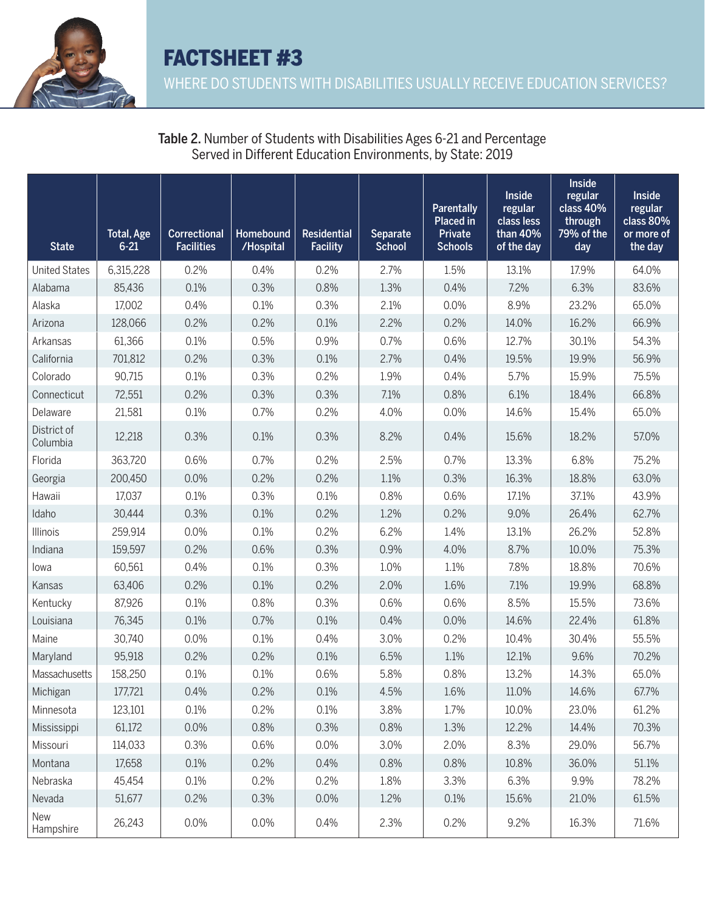

| <b>State</b>            | Total, Age<br>$6 - 21$ | <b>Correctional</b><br><b>Facilities</b> | Homebound<br>/Hospital | <b>Residential</b><br><b>Facility</b> | <b>Separate</b><br><b>School</b> | <b>Parentally</b><br><b>Placed in</b><br><b>Private</b><br><b>Schools</b> | Inside<br>regular<br>class less<br>than 40%<br>of the day | Inside<br>regular<br>class 40%<br>through<br>79% of the<br>day | <b>Inside</b><br>regular<br>class 80%<br>or more of<br>the day |
|-------------------------|------------------------|------------------------------------------|------------------------|---------------------------------------|----------------------------------|---------------------------------------------------------------------------|-----------------------------------------------------------|----------------------------------------------------------------|----------------------------------------------------------------|
| <b>United States</b>    | 6,315,228              | 0.2%                                     | 0.4%                   | 0.2%                                  | 2.7%                             | 1.5%                                                                      | 13.1%                                                     | 17.9%                                                          | 64.0%                                                          |
| Alabama                 | 85,436                 | 0.1%                                     | 0.3%                   | 0.8%                                  | 1.3%                             | 0.4%                                                                      | 7.2%                                                      | 6.3%                                                           | 83.6%                                                          |
| Alaska                  | 17,002                 | 0.4%                                     | 0.1%                   | 0.3%                                  | 2.1%                             | 0.0%                                                                      | 8.9%                                                      | 23.2%                                                          | 65.0%                                                          |
| Arizona                 | 128,066                | 0.2%                                     | 0.2%                   | 0.1%                                  | 2.2%                             | 0.2%                                                                      | 14.0%                                                     | 16.2%                                                          | 66.9%                                                          |
| Arkansas                | 61,366                 | 0.1%                                     | 0.5%                   | 0.9%                                  | 0.7%                             | 0.6%                                                                      | 12.7%                                                     | 30.1%                                                          | 54.3%                                                          |
| California              | 701,812                | 0.2%                                     | 0.3%                   | 0.1%                                  | 2.7%                             | 0.4%                                                                      | 19.5%                                                     | 19.9%                                                          | 56.9%                                                          |
| Colorado                | 90,715                 | 0.1%                                     | 0.3%                   | 0.2%                                  | 1.9%                             | 0.4%                                                                      | 5.7%                                                      | 15.9%                                                          | 75.5%                                                          |
| Connecticut             | 72,551                 | 0.2%                                     | 0.3%                   | 0.3%                                  | 7.1%                             | 0.8%                                                                      | 6.1%                                                      | 18.4%                                                          | 66.8%                                                          |
| Delaware                | 21,581                 | 0.1%                                     | 0.7%                   | 0.2%                                  | 4.0%                             | 0.0%                                                                      | 14.6%                                                     | 15.4%                                                          | 65.0%                                                          |
| District of<br>Columbia | 12,218                 | 0.3%                                     | 0.1%                   | 0.3%                                  | 8.2%                             | 0.4%                                                                      | 15.6%                                                     | 18.2%                                                          | 57.0%                                                          |
| Florida                 | 363,720                | 0.6%                                     | 0.7%                   | 0.2%                                  | 2.5%                             | 0.7%                                                                      | 13.3%                                                     | 6.8%                                                           | 75.2%                                                          |
| Georgia                 | 200,450                | 0.0%                                     | 0.2%                   | 0.2%                                  | 1.1%                             | 0.3%                                                                      | 16.3%                                                     | 18.8%                                                          | 63.0%                                                          |
| Hawaii                  | 17,037                 | 0.1%                                     | 0.3%                   | 0.1%                                  | 0.8%                             | 0.6%                                                                      | 17.1%                                                     | 37.1%                                                          | 43.9%                                                          |
| Idaho                   | 30,444                 | 0.3%                                     | 0.1%                   | 0.2%                                  | 1.2%                             | 0.2%                                                                      | 9.0%                                                      | 26.4%                                                          | 62.7%                                                          |
| <b>Illinois</b>         | 259,914                | 0.0%                                     | 0.1%                   | 0.2%                                  | 6.2%                             | 1.4%                                                                      | 13.1%                                                     | 26.2%                                                          | 52.8%                                                          |
| Indiana                 | 159,597                | 0.2%                                     | 0.6%                   | 0.3%                                  | 0.9%                             | 4.0%                                                                      | 8.7%                                                      | 10.0%                                                          | 75.3%                                                          |
| lowa                    | 60,561                 | 0.4%                                     | 0.1%                   | 0.3%                                  | 1.0%                             | 1.1%                                                                      | 7.8%                                                      | 18.8%                                                          | 70.6%                                                          |
| Kansas                  | 63,406                 | 0.2%                                     | 0.1%                   | 0.2%                                  | 2.0%                             | 1.6%                                                                      | 7.1%                                                      | 19.9%                                                          | 68.8%                                                          |
| Kentucky                | 87,926                 | 0.1%                                     | 0.8%                   | 0.3%                                  | 0.6%                             | 0.6%                                                                      | 8.5%                                                      | 15.5%                                                          | 73.6%                                                          |
| Louisiana               | 76,345                 | 0.1%                                     | 0.7%                   | 0.1%                                  | 0.4%                             | 0.0%                                                                      | 14.6%                                                     | 22.4%                                                          | 61.8%                                                          |
| Maine                   | 30,740                 | 0.0%                                     | 0.1%                   | 0.4%                                  | 3.0%                             | 0.2%                                                                      | 10.4%                                                     | 30.4%                                                          | 55.5%                                                          |
| Maryland                | 95,918                 | 0.2%                                     | 0.2%                   | 0.1%                                  | 6.5%                             | 1.1%                                                                      | 12.1%                                                     | 9.6%                                                           | 70.2%                                                          |
| Massachusetts           | 158,250                | 0.1%                                     | 0.1%                   | 0.6%                                  | 5.8%                             | 0.8%                                                                      | 13.2%                                                     | 14.3%                                                          | 65.0%                                                          |
| Michigan                | 177,721                | 0.4%                                     | 0.2%                   | 0.1%                                  | 4.5%                             | 1.6%                                                                      | 11.0%                                                     | 14.6%                                                          | 67.7%                                                          |
| Minnesota               | 123,101                | 0.1%                                     | 0.2%                   | 0.1%                                  | 3.8%                             | 1.7%                                                                      | 10.0%                                                     | 23.0%                                                          | 61.2%                                                          |
| Mississippi             | 61,172                 | 0.0%                                     | 0.8%                   | 0.3%                                  | 0.8%                             | 1.3%                                                                      | 12.2%                                                     | 14.4%                                                          | 70.3%                                                          |
| Missouri                | 114,033                | 0.3%                                     | 0.6%                   | 0.0%                                  | 3.0%                             | 2.0%                                                                      | 8.3%                                                      | 29.0%                                                          | 56.7%                                                          |
| Montana                 | 17,658                 | 0.1%                                     | 0.2%                   | 0.4%                                  | 0.8%                             | 0.8%                                                                      | 10.8%                                                     | 36.0%                                                          | 51.1%                                                          |
| Nebraska                | 45,454                 | 0.1%                                     | 0.2%                   | 0.2%                                  | 1.8%                             | 3.3%                                                                      | 6.3%                                                      | 9.9%                                                           | 78.2%                                                          |
| Nevada                  | 51,677                 | 0.2%                                     | 0.3%                   | 0.0%                                  | 1.2%                             | 0.1%                                                                      | 15.6%                                                     | 21.0%                                                          | 61.5%                                                          |
| New<br>Hampshire        | 26,243                 | 0.0%                                     | 0.0%                   | 0.4%                                  | 2.3%                             | 0.2%                                                                      | 9.2%                                                      | 16.3%                                                          | 71.6%                                                          |

### Table 2. Number of Students with Disabilities Ages 6-21 and Percentage Served in Different Education Environments, by State: 2019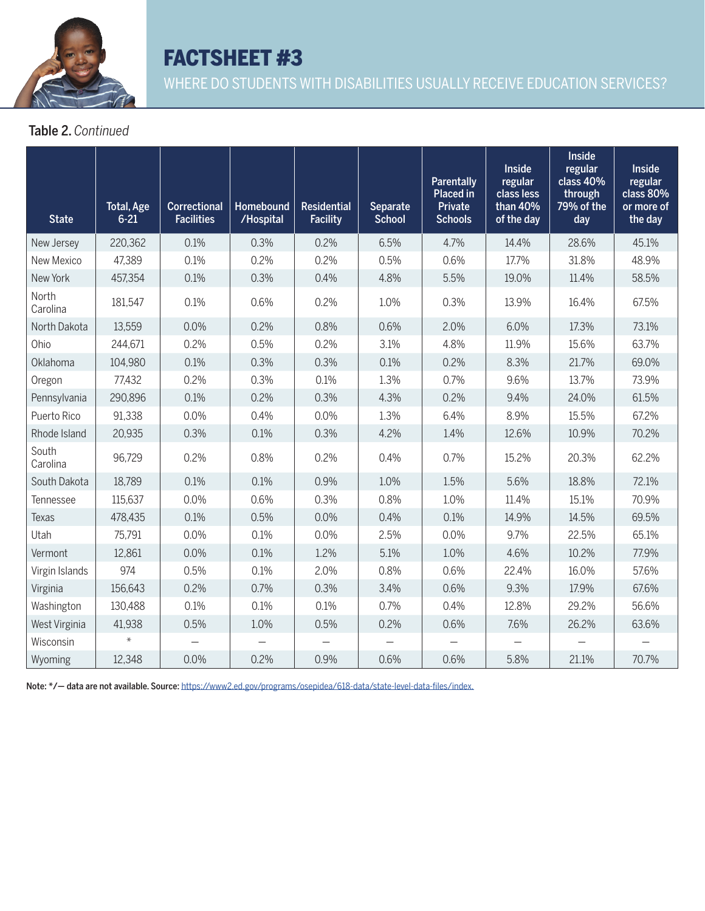

## FACTSHEET #3

WHERE DO STUDENTS WITH DISABILITIES USUALLY RECEIVE EDUCATION SERVICES?

### Table 2. *Continued*

| <b>State</b>      | Total, Age<br>$6 - 21$ | <b>Correctional</b><br><b>Facilities</b> | Homebound<br>/Hospital | <b>Residential</b><br><b>Facility</b> | Separate<br><b>School</b> | Parentally<br><b>Placed in</b><br>Private<br><b>Schools</b> | <b>Inside</b><br>regular<br>class less<br>than 40%<br>of the day | <b>Inside</b><br>regular<br>class 40%<br>through<br>79% of the<br>day | <b>Inside</b><br>regular<br>class 80%<br>or more of<br>the day |
|-------------------|------------------------|------------------------------------------|------------------------|---------------------------------------|---------------------------|-------------------------------------------------------------|------------------------------------------------------------------|-----------------------------------------------------------------------|----------------------------------------------------------------|
| New Jersey        | 220,362                | 0.1%                                     | 0.3%                   | 0.2%                                  | 6.5%                      | 4.7%                                                        | 14.4%                                                            | 28.6%                                                                 | 45.1%                                                          |
| New Mexico        | 47,389                 | 0.1%                                     | 0.2%                   | 0.2%                                  | 0.5%                      | 0.6%                                                        | 17.7%                                                            | 31.8%                                                                 | 48.9%                                                          |
| New York          | 457,354                | 0.1%                                     | 0.3%                   | 0.4%                                  | 4.8%                      | 5.5%                                                        | 19.0%                                                            | 11.4%                                                                 | 58.5%                                                          |
| North<br>Carolina | 181,547                | 0.1%                                     | 0.6%                   | 0.2%                                  | 1.0%                      | 0.3%                                                        | 13.9%                                                            | 16.4%                                                                 | 67.5%                                                          |
| North Dakota      | 13,559                 | 0.0%                                     | 0.2%                   | 0.8%                                  | 0.6%                      | 2.0%                                                        | 6.0%                                                             | 17.3%                                                                 | 73.1%                                                          |
| Ohio              | 244,671                | 0.2%                                     | 0.5%                   | 0.2%                                  | 3.1%                      | 4.8%                                                        | 11.9%                                                            | 15.6%                                                                 | 63.7%                                                          |
| Oklahoma          | 104,980                | 0.1%                                     | 0.3%                   | 0.3%                                  | 0.1%                      | 0.2%                                                        | 8.3%                                                             | 21.7%                                                                 | 69.0%                                                          |
| Oregon            | 77,432                 | 0.2%                                     | 0.3%                   | 0.1%                                  | 1.3%                      | 0.7%                                                        | 9.6%                                                             | 13.7%                                                                 | 73.9%                                                          |
| Pennsylvania      | 290,896                | 0.1%                                     | 0.2%                   | 0.3%                                  | 4.3%                      | 0.2%                                                        | 9.4%                                                             | 24.0%                                                                 | 61.5%                                                          |
| Puerto Rico       | 91,338                 | 0.0%                                     | 0.4%                   | 0.0%                                  | 1.3%                      | 6.4%                                                        | 8.9%                                                             | 15.5%                                                                 | 67.2%                                                          |
| Rhode Island      | 20,935                 | 0.3%                                     | 0.1%                   | 0.3%                                  | 4.2%                      | 1.4%                                                        | 12.6%                                                            | 10.9%                                                                 | 70.2%                                                          |
| South<br>Carolina | 96,729                 | 0.2%                                     | 0.8%                   | 0.2%                                  | 0.4%                      | 0.7%                                                        | 15.2%                                                            | 20.3%                                                                 | 62.2%                                                          |
| South Dakota      | 18,789                 | 0.1%                                     | 0.1%                   | 0.9%                                  | 1.0%                      | 1.5%                                                        | 5.6%                                                             | 18.8%                                                                 | 72.1%                                                          |
| Tennessee         | 115,637                | 0.0%                                     | 0.6%                   | 0.3%                                  | 0.8%                      | 1.0%                                                        | 11.4%                                                            | 15.1%                                                                 | 70.9%                                                          |
| Texas             | 478,435                | 0.1%                                     | 0.5%                   | 0.0%                                  | 0.4%                      | 0.1%                                                        | 14.9%                                                            | 14.5%                                                                 | 69.5%                                                          |
| Utah              | 75,791                 | 0.0%                                     | 0.1%                   | 0.0%                                  | 2.5%                      | 0.0%                                                        | 9.7%                                                             | 22.5%                                                                 | 65.1%                                                          |
| Vermont           | 12,861                 | 0.0%                                     | 0.1%                   | 1.2%                                  | 5.1%                      | 1.0%                                                        | 4.6%                                                             | 10.2%                                                                 | 77.9%                                                          |
| Virgin Islands    | 974                    | 0.5%                                     | 0.1%                   | 2.0%                                  | 0.8%                      | 0.6%                                                        | 22.4%                                                            | 16.0%                                                                 | 57.6%                                                          |
| Virginia          | 156,643                | 0.2%                                     | 0.7%                   | 0.3%                                  | 3.4%                      | 0.6%                                                        | 9.3%                                                             | 17.9%                                                                 | 67.6%                                                          |
| Washington        | 130,488                | 0.1%                                     | 0.1%                   | 0.1%                                  | 0.7%                      | 0.4%                                                        | 12.8%                                                            | 29.2%                                                                 | 56.6%                                                          |
| West Virginia     | 41,938                 | 0.5%                                     | 1.0%                   | 0.5%                                  | 0.2%                      | 0.6%                                                        | 7.6%                                                             | 26.2%                                                                 | 63.6%                                                          |
| Wisconsin         | $\ast$                 |                                          |                        |                                       |                           |                                                             |                                                                  |                                                                       |                                                                |
| Wyoming           | 12,348                 | 0.0%                                     | 0.2%                   | 0.9%                                  | 0.6%                      | 0.6%                                                        | 5.8%                                                             | 21.1%                                                                 | 70.7%                                                          |

Note: \*/— data are not available. Source: [https://www2.ed.gov/programs/osepidea/618-data/state-level-data-files/index.](https://www2.ed.gov/programs/osepidea/618-data/state-level-data-files/index.html)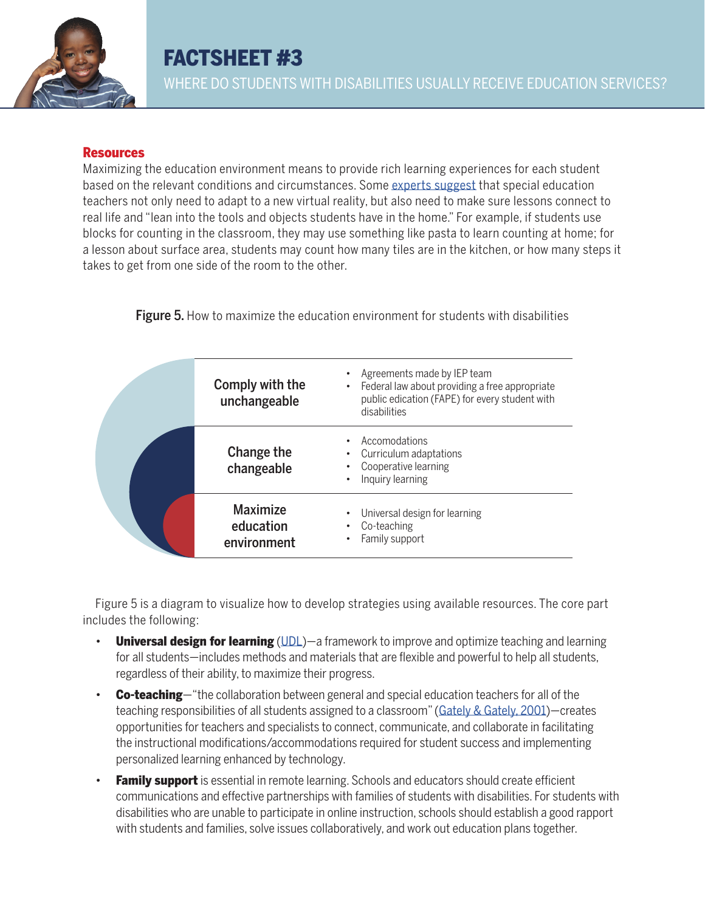

# FACTSHEET #3 WHERE DO STUDENTS WITH DISABILITIES USUALLY RECEIVE EDUCATION SERVICES?

#### **Resources**

Maximizing the education environment means to provide rich learning experiences for each student based on the relevant conditions and circumstances. Some [experts suggest](https://www.npr.org/2020/03/27/821926032/with-schools-closed-kids-with-disabilities-are-more-vulnerable-than-ever) that special education teachers not only need to adapt to a new virtual reality, but also need to make sure lessons connect to real life and "lean into the tools and objects students have in the home." For example, if students use blocks for counting in the classroom, they may use something like pasta to learn counting at home; for a lesson about surface area, students may count how many tiles are in the kitchen, or how many steps it takes to get from one side of the room to the other.

**Figure 5.** How to maximize the education environment for students with disabilities

| Comply with the<br>unchangeable             | • Agreements made by IEP team<br>Federal law about providing a free appropriate<br>$\bullet$<br>public edication (FAPE) for every student with<br>disabilities |
|---------------------------------------------|----------------------------------------------------------------------------------------------------------------------------------------------------------------|
| Change the<br>changeable                    | Accomodations<br>Curriculum adaptations<br>$\bullet$<br>Cooperative learning<br>Inquiry learning<br>$\bullet$                                                  |
| <b>Maximize</b><br>education<br>environment | Universal design for learning<br>٠<br>Co-teaching<br>Family support<br>$\bullet$                                                                               |

Figure 5 is a diagram to visualize how to develop strategies using available resources. The core part includes the following:

- **Universal design for learning** ([UDL](http://www.cast.org/our-work/about-udl.html#.XoImSIhKg2w))—a framework to improve and optimize teaching and learning for all students—includes methods and materials that are flexible and powerful to help all students, regardless of their ability, to maximize their progress.
- **Co-teaching**—"the collaboration between general and special education teachers for all of the teaching responsibilities of all students assigned to a classroom" ([Gately & Gately, 2001](https://pdfs.semanticscholar.org/a8bc/869360fe3b37adc2922aec231322c29b3981.pdf))-creates opportunities for teachers and specialists to connect, communicate, and collaborate in facilitating the instructional modifications/accommodations required for student success and implementing personalized learning enhanced by technology.
- **Family support** is essential in remote learning. Schools and educators should create efficient communications and effective partnerships with families of students with disabilities. For students with disabilities who are unable to participate in online instruction, schools should establish a good rapport with students and families, solve issues collaboratively, and work out education plans together.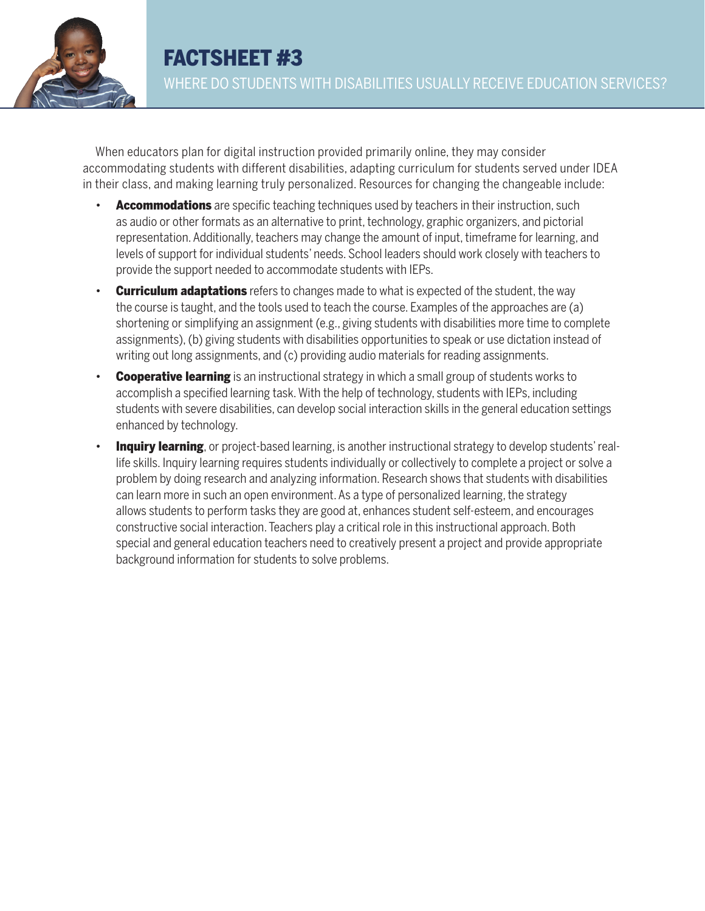

When educators plan for digital instruction provided primarily online, they may consider accommodating students with different disabilities, adapting curriculum for students served under IDEA in their class, and making learning truly personalized. Resources for changing the changeable include:

- Accommodations are specific teaching techniques used by teachers in their instruction, such as audio or other formats as an alternative to print, technology, graphic organizers, and pictorial representation. Additionally, teachers may change the amount of input, timeframe for learning, and levels of support for individual students' needs. School leaders should work closely with teachers to provide the support needed to accommodate students with IEPs.
- Curriculum adaptations refers to changes made to what is expected of the student, the way the course is taught, and the tools used to teach the course. Examples of the approaches are (a) shortening or simplifying an assignment (e.g., giving students with disabilities more time to complete assignments), (b) giving students with disabilities opportunities to speak or use dictation instead of writing out long assignments, and (c) providing audio materials for reading assignments.
- Cooperative learning is an instructional strategy in which a small group of students works to accomplish a specified learning task. With the help of technology, students with IEPs, including students with severe disabilities, can develop social interaction skills in the general education settings enhanced by technology.
- **Inquiry learning**, or project-based learning, is another instructional strategy to develop students' reallife skills. Inquiry learning requires students individually or collectively to complete a project or solve a problem by doing research and analyzing information. Research shows that students with disabilities can learn more in such an open environment. As a type of personalized learning, the strategy allows students to perform tasks they are good at, enhances student self-esteem, and encourages constructive social interaction. Teachers play a critical role in this instructional approach. Both special and general education teachers need to creatively present a project and provide appropriate background information for students to solve problems.